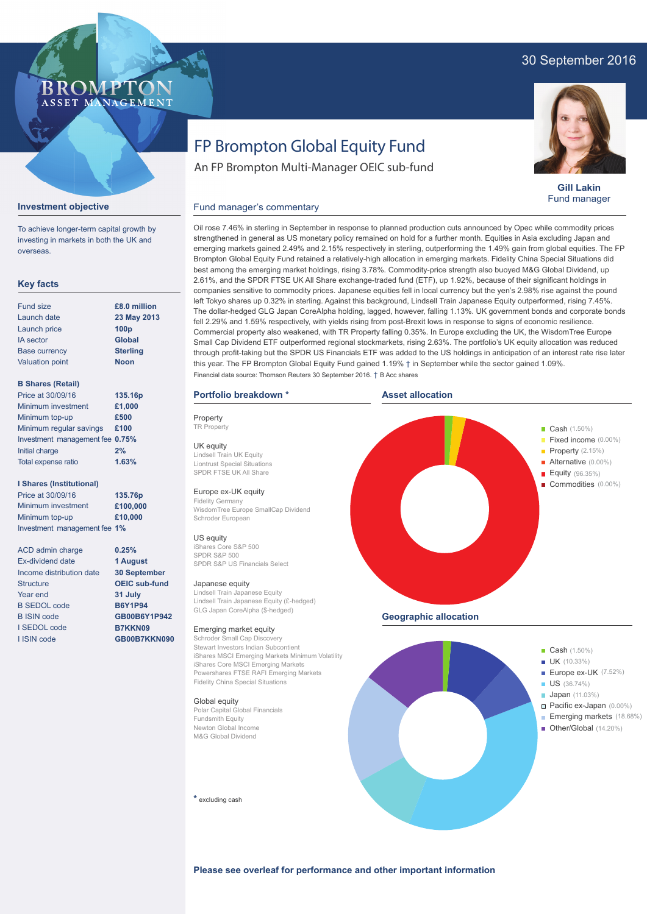### 30 September 2016



**Gill Lakin** Fund manager

# FP Brompton Global Equity Fund

An FP Brompton Multi-Manager OEIC sub-fund

### **Investment objective**

**BROMP** 

ASSET MANAGEMENT

To achieve longer-term capital growth by investing in markets in both the UK and overseas.

#### **Key facts**

| <b>Fund size</b>       | £8.0 million     |
|------------------------|------------------|
| Launch date            | 23 May 2013      |
| Launch price           | 100 <sub>p</sub> |
| <b>IA</b> sector       | <b>Global</b>    |
| <b>Base currency</b>   | <b>Sterling</b>  |
| <b>Valuation point</b> | <b>Noon</b>      |
|                        |                  |

#### **B Shares (Retail)**

| Price at 30/09/16               | 135.16p |
|---------------------------------|---------|
| Minimum investment              | £1,000  |
| Minimum top-up                  | £500    |
| Minimum regular savings         | £100    |
| Investment management fee 0.75% |         |
| Initial charge                  | 2%      |
| Total expense ratio             | 1.63%   |

#### **I Shares (Institutional)**

Minimum investment Minimum top-up Investment management fee **1% £100,000 £10,000** Price at 30/09/16 **135.76p**

ACD admin charge Ex-dividend date Income distribution date **Structure** Year end B SEDOL code B ISIN code I SEDOL code I ISIN code

**0.25% 1 August 30 September OEIC sub-fund 31 July B6Y1P94 GB00B6Y1P942 B7KKN09 GB00B7KKN090**

# Fund manager's commentary

Oil rose 7.46% in sterling in September in response to planned production cuts announced by Opec while commodity prices strengthened in general as US monetary policy remained on hold for a further month. Equities in Asia excluding Japan and emerging markets gained 2.49% and 2.15% respectively in sterling, outperforming the 1.49% gain from global equities. The FP Brompton Global Equity Fund retained a relatively-high allocation in emerging markets. Fidelity China Special Situations did best among the emerging market holdings, rising 3.78%. Commodity-price strength also buoyed M&G Global Dividend, up 2.61%, and the SPDR FTSE UK All Share exchange-traded fund (ETF), up 1.92%, because of their significant holdings in companies sensitive to commodity prices. Japanese equities fell in local currency but the yen's 2.98% rise against the pound left Tokyo shares up 0.32% in sterling. Against this background, Lindsell Train Japanese Equity outperformed, rising 7.45%. The dollar-hedged GLG Japan CoreAlpha holding, lagged, however, falling 1.13%. UK government bonds and corporate bonds fell 2.29% and 1.59% respectively, with yields rising from post-Brexit lows in response to signs of economic resilience. Commercial property also weakened, with TR Property falling 0.35%. In Europe excluding the UK, the WisdomTree Europe Small Cap Dividend ETF outperformed regional stockmarkets, rising 2.63%. The portfolio's UK equity allocation was reduced through profit-taking but the SPDR US Financials ETF was added to the US holdings in anticipation of an interest rate rise later this year. The FP Brompton Global Equity Fund gained 1.19% † in September while the sector gained 1.09%. Financial data source: Thomson Reuters 30 September 2016. † B Acc shares

**Asset allocation**

#### **Portfolio breakdown \***

Property TR Property UK equity Lindsell Train UK Equity Liontrust Special Situations SPDR FTSE UK All Share

#### Europe ex-UK equity

Fidelity Germany WisdomTree Europe SmallCap Dividend Schroder European

#### US equity

iShares Core S&P 500 SPDR S&P 500 SPDR S&P US Financials Select

#### Japanese equity

Lindsell Train Japanese Equity Lindsell Train Japanese Equity (£-hedged) GLG Japan CoreAlpha (\$-hedged)

#### Emerging market equity

Schroder Small Cap Discovery Stewart Investors Indian Subcontient iShares MSCI Emerging Markets Minimum Volatility iShares Core MSCI Emerging Markets Powershares FTSE RAFI Emerging Markets Fidelity China Special Situations

#### Global equity

Polar Capital Global Financials Fundsmith Equity Newton Global Income M&G Global Dividend

**\*** excluding cash



Other/Global (14.20%)